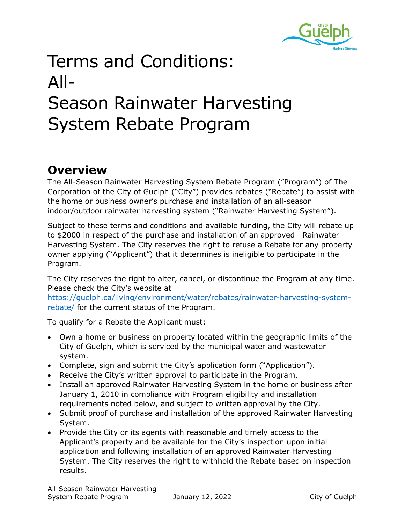

## Terms and Conditions: All-Season Rainwater Harvesting System Rebate Program

## **Overview**

The All-Season Rainwater Harvesting System Rebate Program ("Program") of The Corporation of the City of Guelph ("City") provides rebates ("Rebate") to assist with the home or business owner's purchase and installation of an all-season indoor/outdoor rainwater harvesting system ("Rainwater Harvesting System").

Subject to these terms and conditions and available funding, the City will rebate up to \$2000 in respect of the purchase and installation of an approved Rainwater Harvesting System. The City reserves the right to refuse a Rebate for any property owner applying ("Applicant") that it determines is ineligible to participate in the Program.

The City reserves the right to alter, cancel, or discontinue the Program at any time. Please check the City's website at

[https://guelph.ca/living/environment/water/rebates/rainwater-harvesting-system](https://guelph.ca/living/environment/water/rebates/rainwater-harvesting-system-rebate/)[rebate/](https://guelph.ca/living/environment/water/rebates/rainwater-harvesting-system-rebate/) for the current status of the Program.

To qualify for a Rebate the Applicant must:

- Own a home or business on property located within the geographic limits of the City of Guelph, which is serviced by the municipal water and wastewater system.
- Complete, sign and submit the City's application form ("Application").
- Receive the City's written approval to participate in the Program.
- Install an approved Rainwater Harvesting System in the home or business after January 1, 2010 in compliance with Program eligibility and installation requirements noted below, and subject to written approval by the City.
- Submit proof of purchase and installation of the approved Rainwater Harvesting System.
- Provide the City or its agents with reasonable and timely access to the Applicant's property and be available for the City's inspection upon initial application and following installation of an approved Rainwater Harvesting System. The City reserves the right to withhold the Rebate based on inspection results.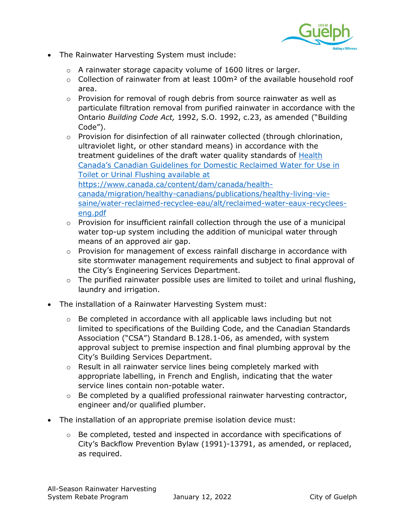

- The Rainwater Harvesting System must include:
	- o A rainwater storage capacity volume of 1600 litres or larger.
	- $\circ$  Collection of rainwater from at least 100m<sup>2</sup> of the available household roof area.
	- o Provision for removal of rough debris from source rainwater as well as particulate filtration removal from purified rainwater in accordance with the Ontario *Building Code Act,* 1992, S.O. 1992, c.23, as amended ("Building Code").
	- $\circ$  Provision for disinfection of all rainwater collected (through chlorination, ultraviolet light, or other standard means) in accordance with the treatment guidelines of the draft water quality standards of Health Canada's [Canadian Guidelines for Domestic Reclaimed Water for Use in](https://www.hc-sc.gc.ca/ewh-semt/alt_formats/hecs-sesc/pdf/pubs/water-eau/reclaimed_water-eaux_recyclees/reclaimed_water-eaux_recyclees-eng.pdf)  [Toilet or Urinal Flushing](https://www.hc-sc.gc.ca/ewh-semt/alt_formats/hecs-sesc/pdf/pubs/water-eau/reclaimed_water-eaux_recyclees/reclaimed_water-eaux_recyclees-eng.pdf) available at [https://www.canada.ca/content/dam/canada/health](https://www.canada.ca/content/dam/canada/health-canada/migration/healthy-canadians/publications/healthy-living-vie-saine/water-reclaimed-recyclee-eau/alt/reclaimed-water-eaux-recyclees-eng.pdf)[canada/migration/healthy-canadians/publications/healthy-living-vie](https://www.canada.ca/content/dam/canada/health-canada/migration/healthy-canadians/publications/healthy-living-vie-saine/water-reclaimed-recyclee-eau/alt/reclaimed-water-eaux-recyclees-eng.pdf)[saine/water-reclaimed-recyclee-eau/alt/reclaimed-water-eaux-recyclees](https://www.canada.ca/content/dam/canada/health-canada/migration/healthy-canadians/publications/healthy-living-vie-saine/water-reclaimed-recyclee-eau/alt/reclaimed-water-eaux-recyclees-eng.pdf)[eng.pdf](https://www.canada.ca/content/dam/canada/health-canada/migration/healthy-canadians/publications/healthy-living-vie-saine/water-reclaimed-recyclee-eau/alt/reclaimed-water-eaux-recyclees-eng.pdf)
	- $\circ$  Provision for insufficient rainfall collection through the use of a municipal water top-up system including the addition of municipal water through means of an approved air gap.
	- o Provision for management of excess rainfall discharge in accordance with site stormwater management requirements and subject to final approval of the City's Engineering Services Department.
	- $\circ$  The purified rainwater possible uses are limited to toilet and urinal flushing, laundry and irrigation.
- The installation of a Rainwater Harvesting System must:
	- $\circ$  Be completed in accordance with all applicable laws including but not limited to specifications of the Building Code, and the Canadian Standards Association ("CSA") Standard B.128.1-06, as amended, with system approval subject to premise inspection and final plumbing approval by the City's Building Services Department.
	- o Result in all rainwater service lines being completely marked with appropriate labelling, in French and English, indicating that the water service lines contain non-potable water.
	- o Be completed by a qualified professional rainwater harvesting contractor, engineer and/or qualified plumber.
- The installation of an appropriate premise isolation device must:
	- $\circ$  Be completed, tested and inspected in accordance with specifications of City's Backflow Prevention Bylaw (1991)-13791, as amended, or replaced, as required.